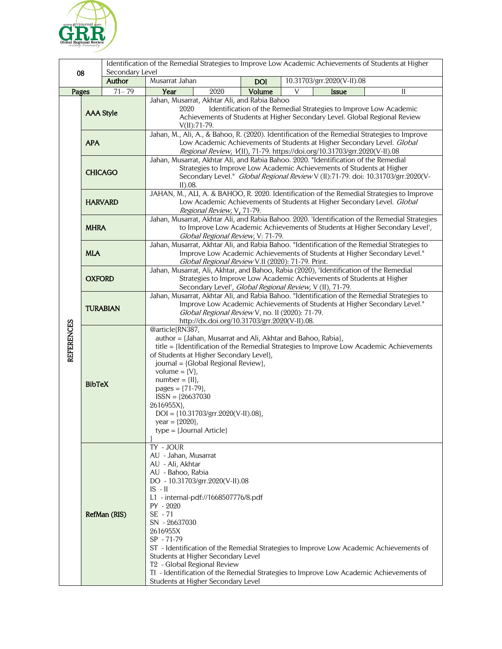

|                   |                  | Identification of the Remedial Strategies to Improve Low Academic Achievements of Students at Higher<br>Secondary Level |                                                                           |            |                                                                                                                                                                          |  |
|-------------------|------------------|-------------------------------------------------------------------------------------------------------------------------|---------------------------------------------------------------------------|------------|--------------------------------------------------------------------------------------------------------------------------------------------------------------------------|--|
| 08                |                  | Author                                                                                                                  | Musarrat Jahan                                                            | <b>DOI</b> | 10.31703/grr.2020(V-II).08                                                                                                                                               |  |
| Pages             |                  | $71 - 79$                                                                                                               | Year<br>2020                                                              | Volume     | V<br><b>Issue</b><br>$\mathbf{I}$                                                                                                                                        |  |
|                   |                  |                                                                                                                         | Jahan, Musarrat, Akhtar Ali, and Rabia Bahoo                              |            |                                                                                                                                                                          |  |
|                   | <b>AAA Style</b> |                                                                                                                         | Identification of the Remedial Strategies to Improve Low Academic<br>2020 |            |                                                                                                                                                                          |  |
|                   |                  |                                                                                                                         |                                                                           |            | Achievements of Students at Higher Secondary Level. Global Regional Review                                                                                               |  |
|                   |                  |                                                                                                                         | $V(II):71-79.$                                                            |            | Jahan, M., Ali, A., & Bahoo, R. (2020). Identification of the Remedial Strategies to Improve                                                                             |  |
|                   | <b>APA</b>       |                                                                                                                         |                                                                           |            | Low Academic Achievements of Students at Higher Secondary Level. Global                                                                                                  |  |
|                   |                  |                                                                                                                         | Regional Review, V(II), 71-79. https://doi.org/10.31703/grr.2020(V-II).08 |            |                                                                                                                                                                          |  |
|                   | <b>CHICAGO</b>   |                                                                                                                         |                                                                           |            | Jahan, Musarrat, Akhtar Ali, and Rabia Bahoo. 2020. "Identification of the Remedial                                                                                      |  |
|                   |                  |                                                                                                                         |                                                                           |            | Strategies to Improve Low Academic Achievements of Students at Higher<br>Secondary Level." Global Regional Review V (II):71-79. doi: 10.31703/grr.2020(V-                |  |
|                   |                  |                                                                                                                         | II).08.                                                                   |            |                                                                                                                                                                          |  |
|                   | <b>HARVARD</b>   |                                                                                                                         |                                                                           |            | JAHAN, M., ALI, A. & BAHOO, R. 2020. Identification of the Remedial Strategies to Improve                                                                                |  |
|                   |                  |                                                                                                                         |                                                                           |            | Low Academic Achievements of Students at Higher Secondary Level. Global                                                                                                  |  |
|                   |                  |                                                                                                                         | Regional Review, V, 71-79.                                                |            | Jahan, Musarrat, Akhtar Ali, and Rabia Bahoo. 2020. 'Identification of the Remedial Strategies                                                                           |  |
|                   | <b>MHRA</b>      |                                                                                                                         |                                                                           |            | to Improve Low Academic Achievements of Students at Higher Secondary Level',                                                                                             |  |
|                   |                  |                                                                                                                         | Global Regional Review, V: 71-79.                                         |            |                                                                                                                                                                          |  |
|                   | <b>MLA</b>       |                                                                                                                         |                                                                           |            | Jahan, Musarrat, Akhtar Ali, and Rabia Bahoo. "Identification of the Remedial Strategies to                                                                              |  |
|                   |                  |                                                                                                                         | Global Regional Review V.II (2020): 71-79. Print.                         |            | Improve Low Academic Achievements of Students at Higher Secondary Level."                                                                                                |  |
|                   | <b>OXFORD</b>    |                                                                                                                         |                                                                           |            | Jahan, Musarrat, Ali, Akhtar, and Bahoo, Rabia (2020), 'Identification of the Remedial                                                                                   |  |
|                   |                  |                                                                                                                         |                                                                           |            | Strategies to Improve Low Academic Achievements of Students at Higher                                                                                                    |  |
|                   |                  |                                                                                                                         |                                                                           |            | Secondary Level', Global Regional Review, V (II), 71-79.                                                                                                                 |  |
|                   | <b>TURABIAN</b>  |                                                                                                                         |                                                                           |            | Jahan, Musarrat, Akhtar Ali, and Rabia Bahoo. "Identification of the Remedial Strategies to<br>Improve Low Academic Achievements of Students at Higher Secondary Level." |  |
|                   |                  |                                                                                                                         | Global Regional Review V, no. II (2020): 71-79.                           |            |                                                                                                                                                                          |  |
|                   |                  |                                                                                                                         | http://dx.doi.org/10.31703/grr.2020(V-II).08.                             |            |                                                                                                                                                                          |  |
| <b>REFERENCES</b> | <b>BibTeX</b>    |                                                                                                                         | @article{RN387,                                                           |            |                                                                                                                                                                          |  |
|                   |                  |                                                                                                                         | author = {Jahan, Musarrat and Ali, Akhtar and Bahoo, Rabia},              |            | title = {Identification of the Remedial Strategies to Improve Low Academic Achievements                                                                                  |  |
|                   |                  |                                                                                                                         | of Students at Higher Secondary Level},                                   |            |                                                                                                                                                                          |  |
|                   |                  |                                                                                                                         | journal = {Global Regional Review},                                       |            |                                                                                                                                                                          |  |
|                   |                  |                                                                                                                         | volume = $\{V\},\$<br>$number = \{II\},\$                                 |            |                                                                                                                                                                          |  |
|                   |                  |                                                                                                                         | pages = $\{71-79\}$ ,                                                     |            |                                                                                                                                                                          |  |
|                   |                  |                                                                                                                         | $ISSN = {26637030}$                                                       |            |                                                                                                                                                                          |  |
|                   |                  |                                                                                                                         | 2616955X},                                                                |            |                                                                                                                                                                          |  |
|                   |                  |                                                                                                                         | $DOI = \{10.31703/grr.2020(V-II).08\},\$<br>year = ${2020}$ ,             |            |                                                                                                                                                                          |  |
|                   |                  |                                                                                                                         | $type = {Journal Article}$                                                |            |                                                                                                                                                                          |  |
|                   |                  |                                                                                                                         |                                                                           |            |                                                                                                                                                                          |  |
|                   |                  |                                                                                                                         | TY - JOUR                                                                 |            |                                                                                                                                                                          |  |
|                   |                  |                                                                                                                         | AU - Jahan, Musarrat<br>AU - Ali, Akhtar                                  |            |                                                                                                                                                                          |  |
|                   | RefMan (RIS)     |                                                                                                                         | AU - Bahoo, Rabia                                                         |            |                                                                                                                                                                          |  |
|                   |                  |                                                                                                                         | DO - 10.31703/grr.2020(V-II).08                                           |            |                                                                                                                                                                          |  |
|                   |                  |                                                                                                                         | $IS - II$                                                                 |            |                                                                                                                                                                          |  |
|                   |                  |                                                                                                                         | L1 - internal-pdf://1668507776/8.pdf<br>PY - 2020                         |            |                                                                                                                                                                          |  |
|                   |                  |                                                                                                                         | SE - 71                                                                   |            |                                                                                                                                                                          |  |
|                   |                  |                                                                                                                         | SN - 26637030                                                             |            |                                                                                                                                                                          |  |
|                   |                  |                                                                                                                         | 2616955X                                                                  |            |                                                                                                                                                                          |  |
|                   |                  |                                                                                                                         | SP - 71-79                                                                |            | ST - Identification of the Remedial Strategies to Improve Low Academic Achievements of                                                                                   |  |
|                   |                  |                                                                                                                         | Students at Higher Secondary Level                                        |            |                                                                                                                                                                          |  |
|                   |                  |                                                                                                                         | T <sub>2</sub> - Global Regional Review                                   |            |                                                                                                                                                                          |  |
|                   |                  |                                                                                                                         |                                                                           |            | TI - Identification of the Remedial Strategies to Improve Low Academic Achievements of                                                                                   |  |
|                   |                  |                                                                                                                         | Students at Higher Secondary Level                                        |            |                                                                                                                                                                          |  |